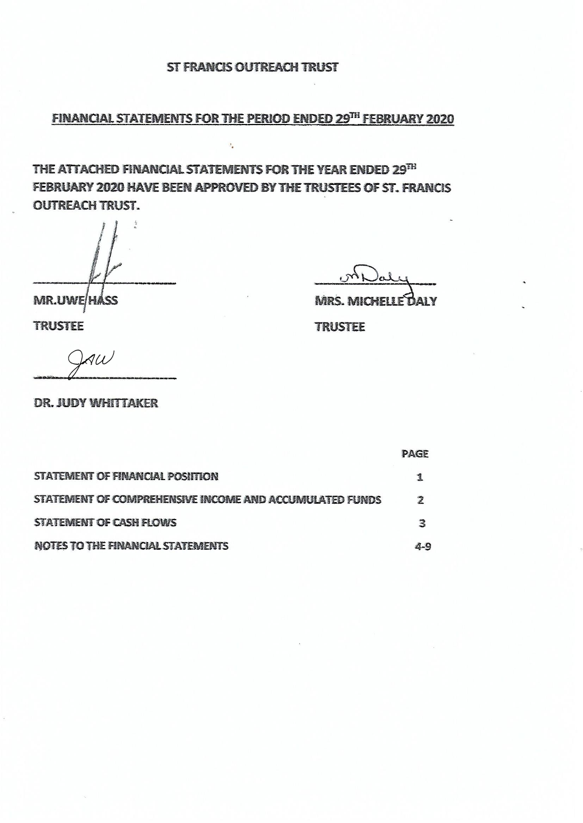FINANCIAL STATEMENTS FOR THE PERIOD ENDED 29TH FEBRUARY 2020

THE ATTACHED FINANCIAL STATEMENTS FOR THE YEAR ENDED 29TH FEBRUARY 2020 HAVE BEEN APPROVED BY THE TRUSTEES OF ST. FRANCIS **OUTREACH TRUST.** 

 $\mathbf{r}_a$ 

**MR.UWE/HASS** 

MRS. MICHELLE DALY

**TRUSTEE** 

**TRUSTEE** 

 $Q(x)$ 

**DR. JUDY WHITTAKER** 

|                                                         | <b>PAGE</b> |
|---------------------------------------------------------|-------------|
| STATEMENT OF FINANCIAL POSITION                         | 1           |
| STATEMENT OF COMPREHENSIVE INCOME AND ACCUMULATED FUNDS | 7           |
| STATEMENT OF CASH FLOWS                                 | З           |
| <b>NOTES TO THE FINANCIAL STATEMENTS</b>                | 4-9         |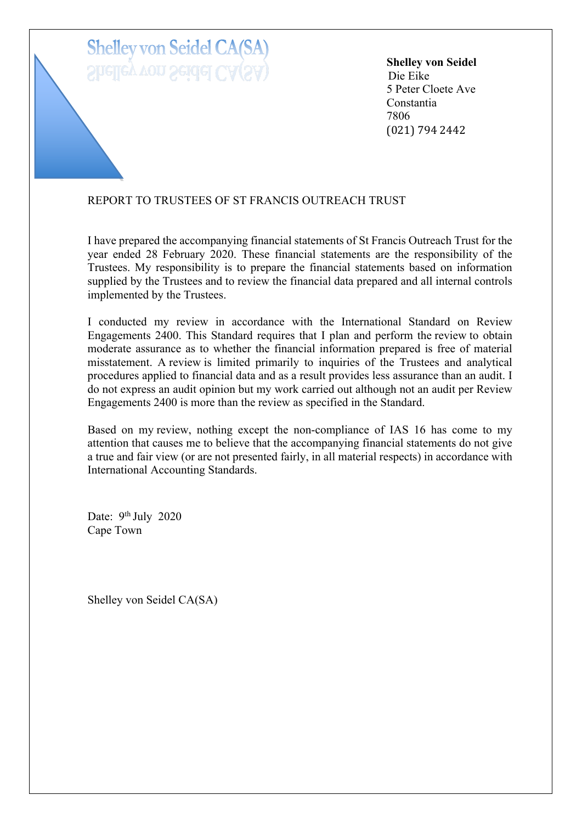# **Shelley von Seidel CA(SA** Shelley von Seidel CA(S

**Shelley von Seidel** Die Eike 5 Peter Cloete Ave Constantia 7806 (021) 794 2442

## REPORT TO TRUSTEES OF ST FRANCIS OUTREACH TRUST

I have prepared the accompanying financial statements of St Francis Outreach Trust for the year ended 28 February 2020. These financial statements are the responsibility of the Trustees. My responsibility is to prepare the financial statements based on information supplied by the Trustees and to review the financial data prepared and all internal controls implemented by the Trustees.

I conducted my review in accordance with the International Standard on Review Engagements 2400. This Standard requires that I plan and perform the review to obtain moderate assurance as to whether the financial information prepared is free of material misstatement. A review is limited primarily to inquiries of the Trustees and analytical procedures applied to financial data and as a result provides less assurance than an audit. I do not express an audit opinion but my work carried out although not an audit per Review Engagements 2400 is more than the review as specified in the Standard.

Based on my review, nothing except the non-compliance of IAS 16 has come to my attention that causes me to believe that the accompanying financial statements do not give a true and fair view (or are not presented fairly, in all material respects) in accordance with International Accounting Standards.

Date: 9<sup>th</sup> July 2020 Cape Town

Shelley von Seidel CA(SA)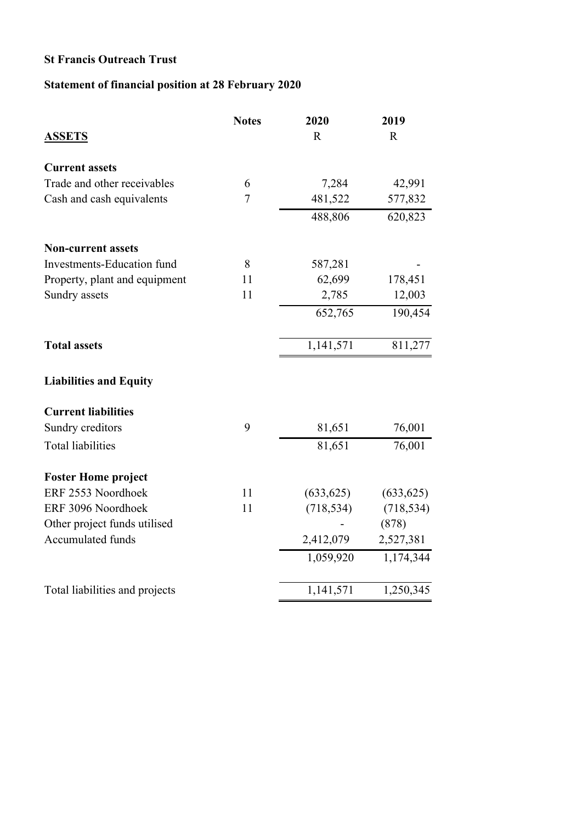## **Statement of financial position at 28 February 2020**

| $\mathbf R$<br>7,284<br>481,522<br>488,806 | $\mathbf R$<br>42,991<br>577,832 |
|--------------------------------------------|----------------------------------|
|                                            |                                  |
|                                            |                                  |
|                                            |                                  |
|                                            |                                  |
|                                            | 620,823                          |
|                                            |                                  |
| 587,281                                    |                                  |
| 62,699                                     | 178,451                          |
| 2,785                                      | 12,003                           |
| 652,765                                    | 190,454                          |
| 1,141,571                                  | 811,277                          |
|                                            |                                  |
|                                            |                                  |
| 81,651                                     | 76,001                           |
| 81,651                                     | 76,001                           |
|                                            |                                  |
| (633, 625)                                 | (633, 625)                       |
| (718, 534)                                 | (718, 534)                       |
|                                            | (878)                            |
| 2,412,079                                  | 2,527,381                        |
| 1,059,920                                  | 1,174,344                        |
| 1,141,571                                  | 1,250,345                        |
|                                            |                                  |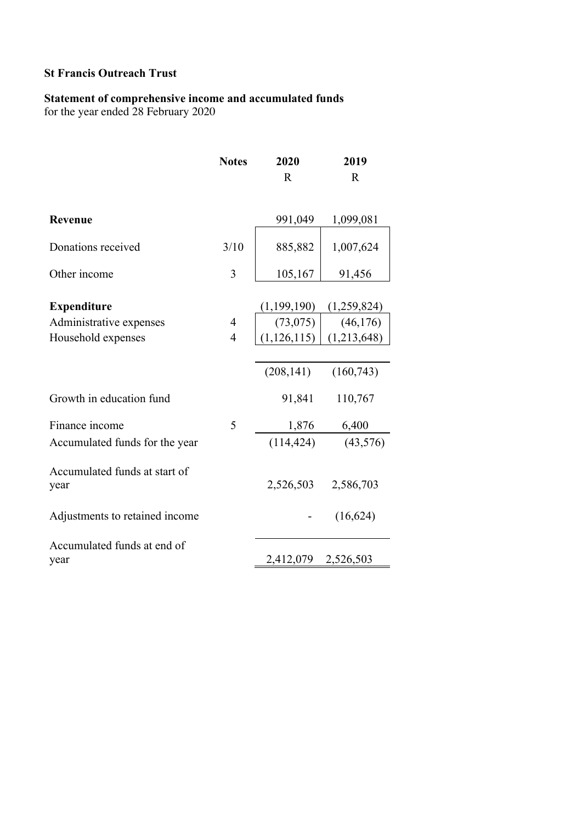### **Statement of comprehensive income and accumulated funds**

for the year ended 28 February 2020

|                                       | <b>Notes</b>   | 2020          | 2019        |
|---------------------------------------|----------------|---------------|-------------|
|                                       |                | $\mathbf R$   | $\mathbf R$ |
|                                       |                |               |             |
| Revenue                               |                | 991,049       | 1,099,081   |
| Donations received                    | 3/10           | 885,882       | 1,007,624   |
| Other income                          | 3              | 105,167       | 91,456      |
| <b>Expenditure</b>                    |                | (1,199,190)   | (1,259,824) |
| Administrative expenses               | $\overline{4}$ | (73, 075)     | (46, 176)   |
| Household expenses                    | $\overline{4}$ | (1, 126, 115) | (1,213,648) |
|                                       |                |               |             |
|                                       |                | (208, 141)    | (160, 743)  |
| Growth in education fund              |                | 91,841        | 110,767     |
| Finance income                        | 5              | 1,876         | 6,400       |
| Accumulated funds for the year        |                | (114, 424)    | (43, 576)   |
| Accumulated funds at start of<br>year |                | 2,526,503     | 2,586,703   |
| Adjustments to retained income        |                |               | (16, 624)   |
| Accumulated funds at end of           |                |               |             |
| year                                  |                | 2,412,079     | 2,526,503   |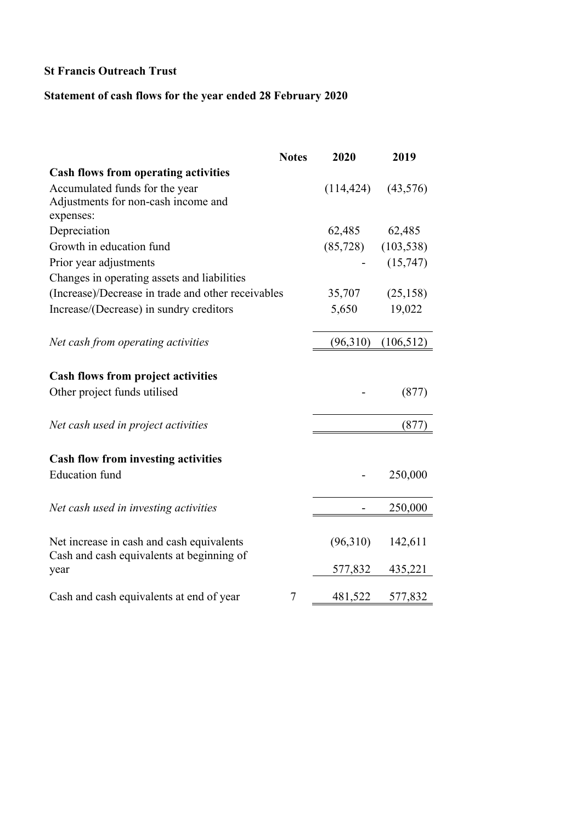## **Statement of cash flows for the year ended 28 February 2020**

|                                                                                        | <b>Notes</b> | 2020                   | 2019       |
|----------------------------------------------------------------------------------------|--------------|------------------------|------------|
| <b>Cash flows from operating activities</b>                                            |              |                        |            |
| Accumulated funds for the year                                                         |              | (114, 424)             | (43,576)   |
| Adjustments for non-cash income and                                                    |              |                        |            |
| expenses:                                                                              |              |                        |            |
| Depreciation                                                                           |              | 62,485                 | 62,485     |
| Growth in education fund                                                               |              | $(85,728)$ $(103,538)$ |            |
| Prior year adjustments                                                                 |              |                        | (15,747)   |
| Changes in operating assets and liabilities                                            |              |                        |            |
| (Increase)/Decrease in trade and other receivables                                     |              | 35,707                 | (25, 158)  |
| Increase/(Decrease) in sundry creditors                                                |              | 5,650                  | 19,022     |
| Net cash from operating activities                                                     |              | (96,310)               | (106, 512) |
| <b>Cash flows from project activities</b>                                              |              |                        |            |
| Other project funds utilised                                                           |              |                        | (877)      |
| Net cash used in project activities                                                    |              |                        | (877)      |
| <b>Cash flow from investing activities</b>                                             |              |                        |            |
| <b>Education</b> fund                                                                  |              |                        | 250,000    |
| Net cash used in investing activities                                                  |              |                        | 250,000    |
| Net increase in cash and cash equivalents<br>Cash and cash equivalents at beginning of |              | (96,310)               | 142,611    |
| year                                                                                   |              | 577,832                | 435,221    |
| Cash and cash equivalents at end of year                                               | 7            | 481,522                | 577,832    |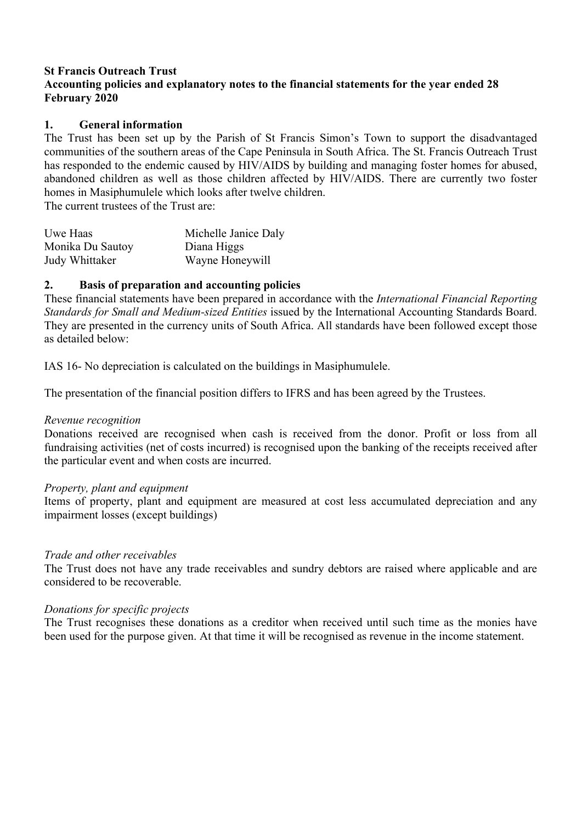#### **1. General information**

The Trust has been set up by the Parish of St Francis Simon's Town to support the disadvantaged communities of the southern areas of the Cape Peninsula in South Africa. The St. Francis Outreach Trust has responded to the endemic caused by HIV/AIDS by building and managing foster homes for abused, abandoned children as well as those children affected by HIV/AIDS. There are currently two foster homes in Masiphumulele which looks after twelve children.

The current trustees of the Trust are:

| Uwe Haas         | Michelle Janice Daly |
|------------------|----------------------|
| Monika Du Sautoy | Diana Higgs          |
| Judy Whittaker   | Wayne Honeywill      |
|                  |                      |

#### **2. Basis of preparation and accounting policies**

These financial statements have been prepared in accordance with the *International Financial Reporting Standards for Small and Medium-sized Entities* issued by the International Accounting Standards Board. They are presented in the currency units of South Africa. All standards have been followed except those as detailed below:

IAS 16- No depreciation is calculated on the buildings in Masiphumulele.

The presentation of the financial position differs to IFRS and has been agreed by the Trustees.

#### *Revenue recognition*

Donations received are recognised when cash is received from the donor. Profit or loss from all fundraising activities (net of costs incurred) is recognised upon the banking of the receipts received after the particular event and when costs are incurred.

#### *Property, plant and equipment*

Items of property, plant and equipment are measured at cost less accumulated depreciation and any impairment losses (except buildings)

#### *Trade and other receivables*

The Trust does not have any trade receivables and sundry debtors are raised where applicable and are considered to be recoverable.

#### *Donations for specific projects*

The Trust recognises these donations as a creditor when received until such time as the monies have been used for the purpose given. At that time it will be recognised as revenue in the income statement.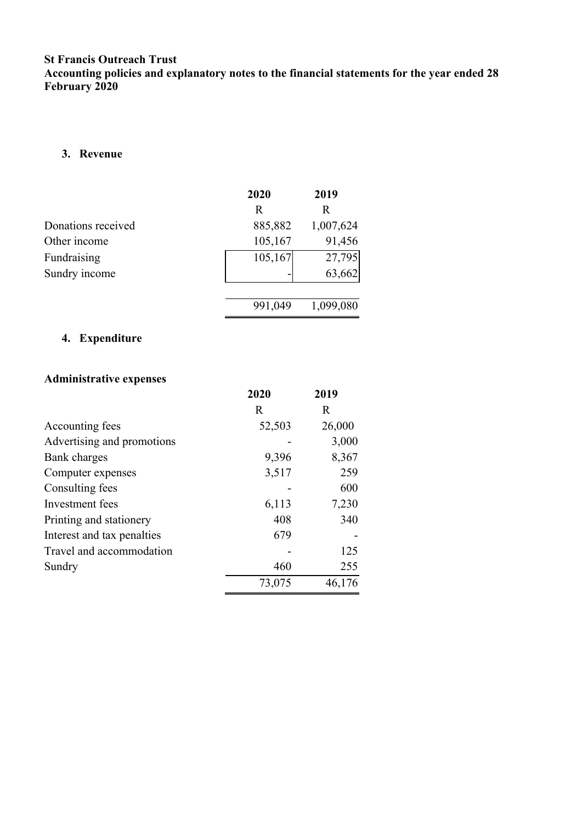#### **3. Revenue**

|                    | 2020    | 2019      |
|--------------------|---------|-----------|
|                    | R       | R         |
| Donations received | 885,882 | 1,007,624 |
| Other income       | 105,167 | 91,456    |
| Fundraising        | 105,167 | 27,795    |
| Sundry income      |         | 63,662    |
|                    |         |           |
|                    | 991,049 | 1,099,080 |

## **4. Expenditure**

## **Administrative expenses**

|                            | 2020   | 2019   |
|----------------------------|--------|--------|
|                            | R      | R      |
| Accounting fees            | 52,503 | 26,000 |
| Advertising and promotions |        | 3,000  |
| Bank charges               | 9,396  | 8,367  |
| Computer expenses          | 3,517  | 259    |
| Consulting fees            |        | 600    |
| Investment fees            | 6,113  | 7,230  |
| Printing and stationery    | 408    | 340    |
| Interest and tax penalties | 679    |        |
| Travel and accommodation   |        | 125    |
| Sundry                     | 460    | 255    |
|                            | 73,075 | 46,176 |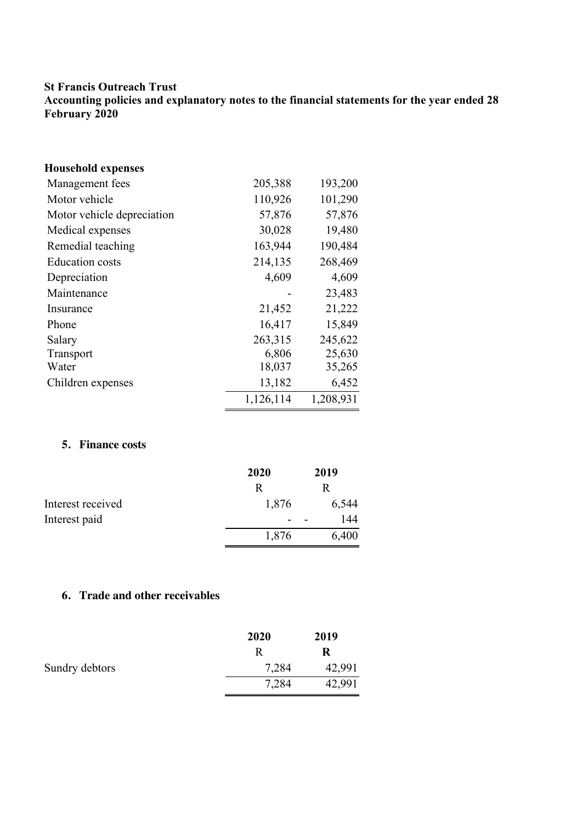| <b>Household expenses</b>  |           |           |
|----------------------------|-----------|-----------|
| Management fees            | 205,388   | 193,200   |
| Motor vehicle              | 110,926   | 101,290   |
| Motor vehicle depreciation | 57,876    | 57,876    |
| Medical expenses           | 30,028    | 19,480    |
| Remedial teaching          | 163,944   | 190,484   |
| <b>Education</b> costs     | 214,135   | 268,469   |
| Depreciation               | 4,609     | 4,609     |
| Maintenance                |           | 23,483    |
| Insurance                  | 21,452    | 21,222    |
| Phone                      | 16,417    | 15,849    |
| Salary                     | 263,315   | 245,622   |
| Transport                  | 6,806     | 25,630    |
| Water                      | 18,037    | 35,265    |
| Children expenses          | 13,182    | 6,452     |
|                            | 1,126,114 | 1,208,931 |

## **5. Finance costs**

|                   | 2020  | 2019  |
|-------------------|-------|-------|
|                   | R     | R     |
| Interest received | 1,876 | 6,544 |
| Interest paid     |       | 144   |
|                   | 1,876 | 6,400 |

## **6. Trade and other receivables**

|                | 2020  | 2019   |
|----------------|-------|--------|
|                | R     | R      |
| Sundry debtors | 7,284 | 42,991 |
|                | 7,284 | 42,991 |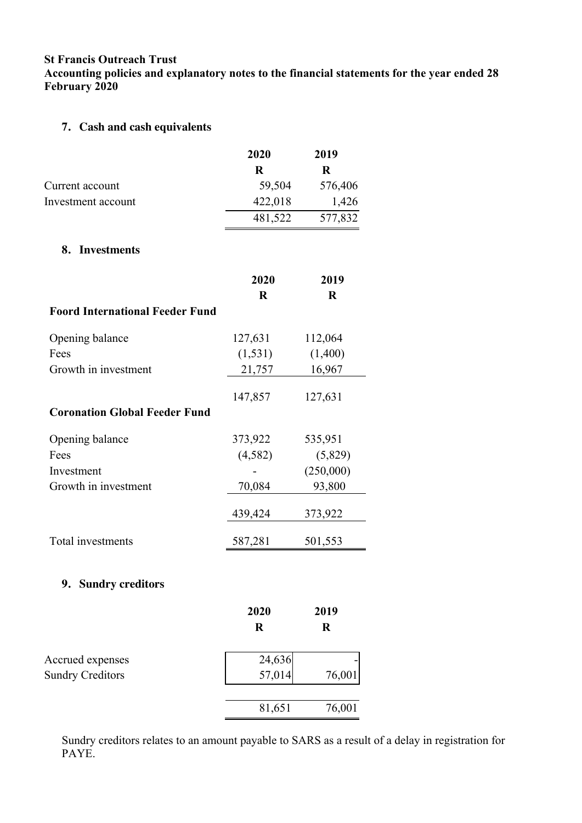**Accounting policies and explanatory notes to the financial statements for the year ended 28 February 2020**

## **7. Cash and cash equivalents**

|                                        | 2020        | 2019      |
|----------------------------------------|-------------|-----------|
|                                        | $\mathbf R$ | $\bf R$   |
| Current account                        | 59,504      | 576,406   |
| Investment account                     | 422,018     | 1,426     |
|                                        | 481,522     | 577,832   |
| 8. Investments                         |             |           |
|                                        | 2020        | 2019      |
|                                        | $\mathbf R$ | $\bf R$   |
| <b>Foord International Feeder Fund</b> |             |           |
| Opening balance                        | 127,631     | 112,064   |
| Fees                                   | (1, 531)    | (1,400)   |
| Growth in investment                   | 21,757      | 16,967    |
|                                        | 147,857     | 127,631   |
| <b>Coronation Global Feeder Fund</b>   |             |           |
| Opening balance                        | 373,922     | 535,951   |
| Fees                                   | (4,582)     | (5,829)   |
| Investment                             |             | (250,000) |
| Growth in investment                   | 70,084      | 93,800    |
|                                        | 439,424     | 373,922   |
| Total investments                      | 587,281     | 501,553   |
| 9. Sundry creditors                    |             |           |
|                                        |             |           |
|                                        | 2020        | 2019      |
|                                        | $\mathbf R$ | $\bf R$   |
| Accrued expenses                       | 24,636      |           |
| <b>Sundry Creditors</b>                | 57,014      | 76,001    |
|                                        | 81,651      | 76,001    |
|                                        |             |           |

Sundry creditors relates to an amount payable to SARS as a result of a delay in registration for PAYE.